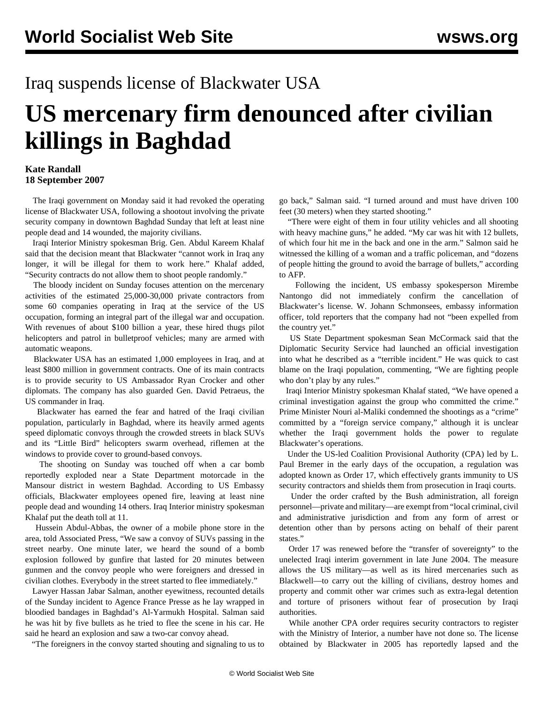## Iraq suspends license of Blackwater USA

## **US mercenary firm denounced after civilian killings in Baghdad**

## **Kate Randall 18 September 2007**

 The Iraqi government on Monday said it had revoked the operating license of Blackwater USA, following a shootout involving the private security company in downtown Baghdad Sunday that left at least nine people dead and 14 wounded, the majority civilians.

 Iraqi Interior Ministry spokesman Brig. Gen. Abdul Kareem Khalaf said that the decision meant that Blackwater "cannot work in Iraq any longer, it will be illegal for them to work here." Khalaf added, "Security contracts do not allow them to shoot people randomly."

 The bloody incident on Sunday focuses attention on the mercenary activities of the estimated 25,000-30,000 private contractors from some 60 companies operating in Iraq at the service of the US occupation, forming an integral part of the illegal war and occupation. With revenues of about \$100 billion a year, these hired thugs pilot helicopters and patrol in bulletproof vehicles; many are armed with automatic weapons.

 Blackwater USA has an estimated 1,000 employees in Iraq, and at least \$800 million in government contracts. One of its main contracts is to provide security to US Ambassador Ryan Crocker and other diplomats. The company has also guarded Gen. David Petraeus, the US commander in Iraq.

 Blackwater has earned the fear and hatred of the Iraqi civilian population, particularly in Baghdad, where its heavily armed agents speed diplomatic convoys through the crowded streets in black SUVs and its "Little Bird" helicopters swarm overhead, riflemen at the windows to provide cover to ground-based convoys.

 The shooting on Sunday was touched off when a car bomb reportedly exploded near a State Department motorcade in the Mansour district in western Baghdad. According to US Embassy officials, Blackwater employees opened fire, leaving at least nine people dead and wounding 14 others. Iraq Interior ministry spokesman Khalaf put the death toll at 11.

 Hussein Abdul-Abbas, the owner of a mobile phone store in the area, told Associated Press, "We saw a convoy of SUVs passing in the street nearby. One minute later, we heard the sound of a bomb explosion followed by gunfire that lasted for 20 minutes between gunmen and the convoy people who were foreigners and dressed in civilian clothes. Everybody in the street started to flee immediately."

 Lawyer Hassan Jabar Salman, another eyewitness, recounted details of the Sunday incident to Agence France Presse as he lay wrapped in bloodied bandages in Baghdad's Al-Yarmukh Hospital. Salman said he was hit by five bullets as he tried to flee the scene in his car. He said he heard an explosion and saw a two-car convoy ahead.

"The foreigners in the convoy started shouting and signaling to us to

go back," Salman said. "I turned around and must have driven 100 feet (30 meters) when they started shooting."

 "There were eight of them in four utility vehicles and all shooting with heavy machine guns," he added. "My car was hit with 12 bullets, of which four hit me in the back and one in the arm." Salmon said he witnessed the killing of a woman and a traffic policeman, and "dozens of people hitting the ground to avoid the barrage of bullets," according to AFP.

 Following the incident, US embassy spokesperson Mirembe Nantongo did not immediately confirm the cancellation of Blackwater's license. W. Johann Schmonsees, embassy information officer, told reporters that the company had not "been expelled from the country yet."

 US State Department spokesman Sean McCormack said that the Diplomatic Security Service had launched an official investigation into what he described as a "terrible incident." He was quick to cast blame on the Iraqi population, commenting, "We are fighting people who don't play by any rules."

 Iraqi Interior Ministry spokesman Khalaf stated, "We have opened a criminal investigation against the group who committed the crime." Prime Minister Nouri al-Maliki condemned the shootings as a "crime" committed by a "foreign service company," although it is unclear whether the Iraqi government holds the power to regulate Blackwater's operations.

 Under the US-led Coalition Provisional Authority (CPA) led by L. Paul Bremer in the early days of the occupation, a regulation was adopted known as Order 17, which effectively grants immunity to US security contractors and shields them from prosecution in Iraqi courts.

 Under the order crafted by the Bush administration, all foreign personnel—private and military—are exempt from "local criminal, civil and administrative jurisdiction and from any form of arrest or detention other than by persons acting on behalf of their parent states."

 Order 17 was renewed before the "transfer of sovereignty" to the unelected Iraqi interim government in late June 2004. The measure allows the US military—as well as its hired mercenaries such as Blackwell—to carry out the killing of civilians, destroy homes and property and commit other war crimes such as extra-legal detention and torture of prisoners without fear of prosecution by Iraqi authorities.

 While another CPA order requires security contractors to register with the Ministry of Interior, a number have not done so. The license obtained by Blackwater in 2005 has reportedly lapsed and the